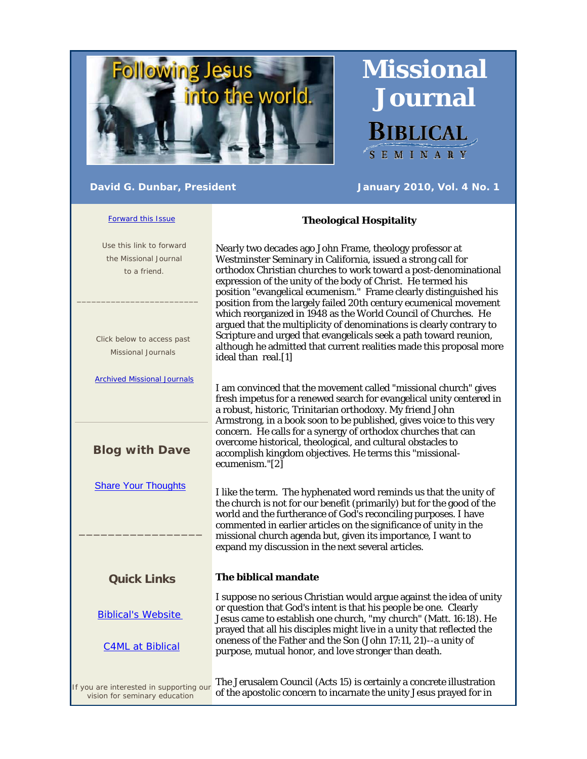

 **Missional Journal**  Biblical SEMINARY

## **David G. Dunbar, President Manuary 2010, Vol. 4 No. 1**

#### Forward this Issue

# **Theological Hospitality**

 Use this link to forward the Missional Journal to a friend.  $\frac{1}{2}$  ,  $\frac{1}{2}$  ,  $\frac{1}{2}$  ,  $\frac{1}{2}$  ,  $\frac{1}{2}$  ,  $\frac{1}{2}$  ,  $\frac{1}{2}$  ,  $\frac{1}{2}$  ,  $\frac{1}{2}$  ,  $\frac{1}{2}$  ,  $\frac{1}{2}$  ,  $\frac{1}{2}$  ,  $\frac{1}{2}$  ,  $\frac{1}{2}$  ,  $\frac{1}{2}$  ,  $\frac{1}{2}$  ,  $\frac{1}{2}$  ,  $\frac{1}{2}$  ,  $\frac{1$  Click below to access past Missional Journals Archived Missional Journals **Blog with Dave** Share Your Thoughts \_\_\_\_\_\_\_\_\_\_\_\_\_\_\_\_\_ **Quick Links** Biblical's Website C4ML at Biblical If you are interested in supporting our vision for seminary education Nearly two decades ago John Frame, theology professor at Westminster Seminary in California, issued a strong call for orthodox Christian churches to work toward a post-denominational expression of the unity of the body of Christ. He termed his position "evangelical ecumenism." Frame clearly distinguished his position from the largely failed 20th century ecumenical movement which reorganized in 1948 as the World Council of Churches. He argued that the multiplicity of denominations is clearly contrary to Scripture and urged that evangelicals seek a path toward reunion, although he admitted that current realities made this proposal more ideal than real.[1] I am convinced that the movement called "missional church" gives fresh impetus for a renewed search for evangelical unity centered in a robust, historic, Trinitarian orthodoxy. My friend John Armstrong, in a book soon to be published, gives voice to this very concern. He calls for a synergy of orthodox churches that can overcome historical, theological, and cultural obstacles to accomplish kingdom objectives. He terms this "missionalecumenism."[2] I like the term. The hyphenated word reminds us that the unity of the church is not for our benefit (primarily) but for the good of the world and the furtherance of God's reconciling purposes. I have commented in earlier articles on the significance of unity in the missional church agenda but, given its importance, I want to expand my discussion in the next several articles. **The biblical mandate**  I suppose no serious Christian would argue against the idea of unity or question that God's intent is that his people be one. Clearly Jesus came to establish one church, "*my* church" (Matt. 16:18). He prayed that all his disciples might live in a unity that reflected the oneness of the Father and the Son (John 17:11, 21)--a unity of purpose, mutual honor, and love stronger than death. The Jerusalem Council (Acts 15) is certainly a concrete illustration of the apostolic concern to incarnate the unity Jesus prayed for in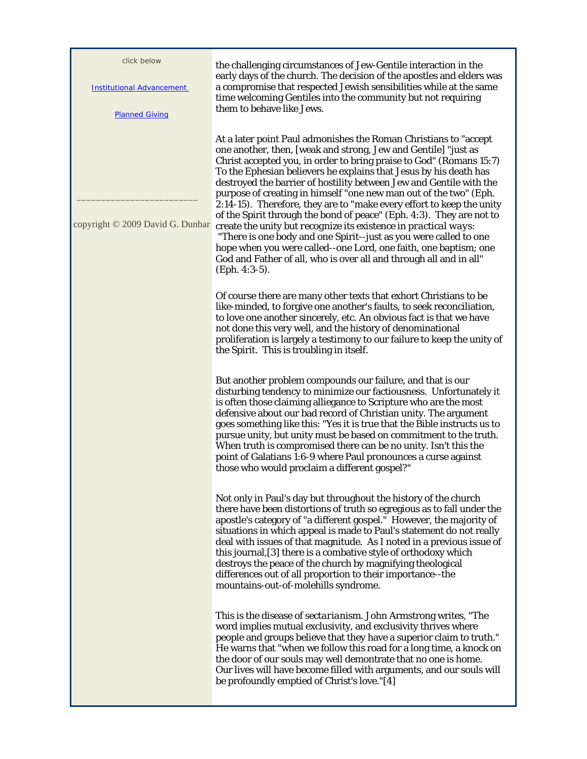| click below<br><b>Institutional Advancement</b><br><b>Planned Giving</b> | the challenging circumstances of Jew-Gentile interaction in the<br>early days of the church. The decision of the apostles and elders was<br>a compromise that respected Jewish sensibilities while at the same<br>time welcoming Gentiles into the community but not requiring<br>them to behave like Jews.                                                                                                                                                                                                                                                                                                                                                                                                                                                                                                                                                                     |
|--------------------------------------------------------------------------|---------------------------------------------------------------------------------------------------------------------------------------------------------------------------------------------------------------------------------------------------------------------------------------------------------------------------------------------------------------------------------------------------------------------------------------------------------------------------------------------------------------------------------------------------------------------------------------------------------------------------------------------------------------------------------------------------------------------------------------------------------------------------------------------------------------------------------------------------------------------------------|
| copyright © 2009 David G. Dunbar                                         | At a later point Paul admonishes the Roman Christians to "accept"<br>one another, then, [weak and strong, Jew and Gentile] "just as<br>Christ accepted you, in order to bring praise to God" (Romans 15:7)<br>To the Ephesian believers he explains that Jesus by his death has<br>destroyed the barrier of hostility between Jew and Gentile with the<br>purpose of creating in himself "one new man out of the two" (Eph.<br>2:14-15). Therefore, they are to "make every effort to keep the unity<br>of the Spirit through the bond of peace" (Eph. 4:3). They are not to<br>create the unity but recognize its existence in practical ways:<br>"There is one body and one Spirit--just as you were called to one<br>hope when you were called--one Lord, one faith, one baptism; one<br>God and Father of all, who is over all and through all and in all"<br>(Eph. 4:3-5). |
|                                                                          | Of course there are many other texts that exhort Christians to be<br>like-minded, to forgive one another's faults, to seek reconciliation,<br>to love one another sincerely, etc. An obvious fact is that we have<br>not done this very well, and the history of denominational<br>proliferation is largely a testimony to our failure to keep the unity of<br>the Spirit. This is troubling in itself.                                                                                                                                                                                                                                                                                                                                                                                                                                                                         |
|                                                                          | But another problem compounds our failure, and that is our<br>disturbing tendency to <i>minimize</i> our factiousness. Unfortunately it<br>is often those claiming alliegance to Scripture who are the most<br>defensive about our bad record of Christian unity. The argument<br>goes something like this: "Yes it is true that the Bible instructs us to<br>pursue unity, but unity must be based on commitment to the truth.<br>When truth is compromised there can be no unity. Isn't this the<br>point of Galatians 1:6-9 where Paul pronounces a curse against<br>those who would proclaim a different gospel?"                                                                                                                                                                                                                                                           |
|                                                                          | Not only in Paul's day but throughout the history of the church<br>there have been distortions of truth so egregious as to fall under the<br>apostle's category of "a different gospel." However, the majority of<br>situations in which appeal is made to Paul's statement do not really<br>deal with issues of that magnitude. As I noted in a previous issue of<br>this journal, [3] there is a combative style of orthodoxy which<br>destroys the peace of the church by magnifying theological<br>differences out of all proportion to their importance--the<br>mountains-out-of-molehills syndrome.                                                                                                                                                                                                                                                                       |
|                                                                          | This is the disease of <i>sectarianism</i> . John Armstrong writes, "The<br>word implies mutual exclusivity, and exclusivity thrives where<br>people and groups believe that they have a superior claim to truth."<br>He warns that "when we follow this road for a long time, a knock on<br>the door of our souls may well demontrate that no one is home.<br>Our lives will have become filled with arguments, and our souls will<br>be profoundly emptied of Christ's love."[4]                                                                                                                                                                                                                                                                                                                                                                                              |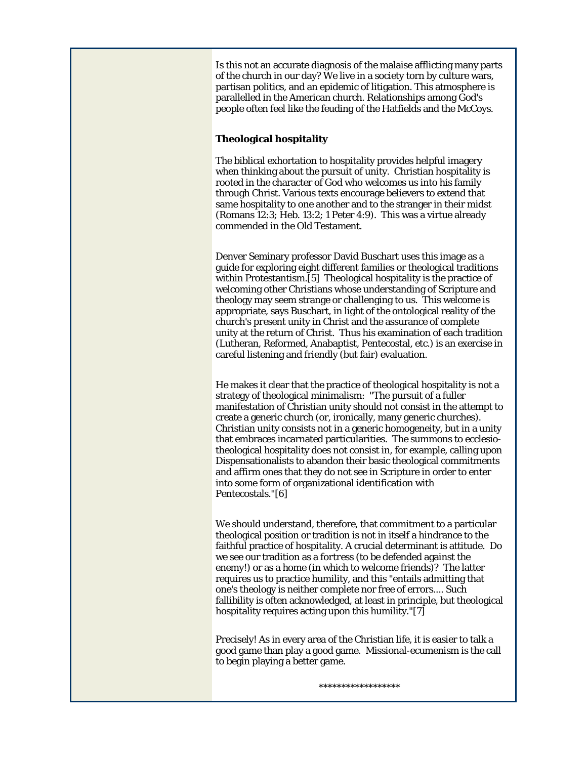Is this not an accurate diagnosis of the malaise afflicting many parts of the church in our day? We live in a society torn by culture wars, partisan politics, and an epidemic of litigation. This atmosphere is parallelled in the American church. Relationships among God's people often feel like the feuding of the Hatfields and the McCoys.

### **Theological hospitality**

The biblical exhortation to hospitality provides helpful imagery when thinking about the pursuit of unity. Christian hospitality is rooted in the character of God who welcomes us into his family through Christ. Various texts encourage believers to extend that same hospitality to one another and to the stranger in their midst (Romans 12:3; Heb. 13:2; 1 Peter 4:9). This was a virtue already commended in the Old Testament.

Denver Seminary professor David Buschart uses this image as a guide for exploring eight different families or theological traditions within Protestantism.[5] Theological hospitality is the practice of welcoming other Christians whose understanding of Scripture and theology may seem strange or challenging to us. This welcome is appropriate, says Buschart, in light of the ontological reality of the church's *present* unity in Christ and the assurance of *complete* unity at the return of Christ. Thus his examination of each tradition (Lutheran, Reformed, Anabaptist, Pentecostal, etc.) is an exercise in careful listening and friendly (but fair) evaluation.

He makes it clear that the practice of theological hospitality is not a strategy of theological minimalism: "The pursuit of a fuller manifestation of Christian unity should not consist in the attempt to create a generic church (or, ironically, many generic churches). Christian unity consists not in a generic homogeneity, but in a unity that embraces incarnated particularities. The summons to ecclesiotheological hospitality does not consist in, for example, calling upon Dispensationalists to abandon their basic theological commitments and affirm ones that they do not see in Scripture in order to enter into some form of organizational identification with Pentecostals."[6]

We should understand, therefore, that commitment to a particular theological position or tradition is not in itself a hindrance to the faithful practice of hospitality. A crucial determinant is attitude. Do we see our tradition as a *fortress* (to be defended against the enemy!) or as a *home* (in which to welcome friends)? The latter requires us to practice humility, and this "entails admitting that one's theology is neither complete nor free of errors.... Such fallibility is often acknowledged, at least in principle, but theological hospitality requires acting upon this humility."[7]

Precisely! As in every area of the Christian life, it is easier to talk a good game than play a good game. Missional-ecumenism is the call to begin playing a better game.

\*\*\*\*\*\*\*\*\*\*\*\*\*\*\*\*\*\*